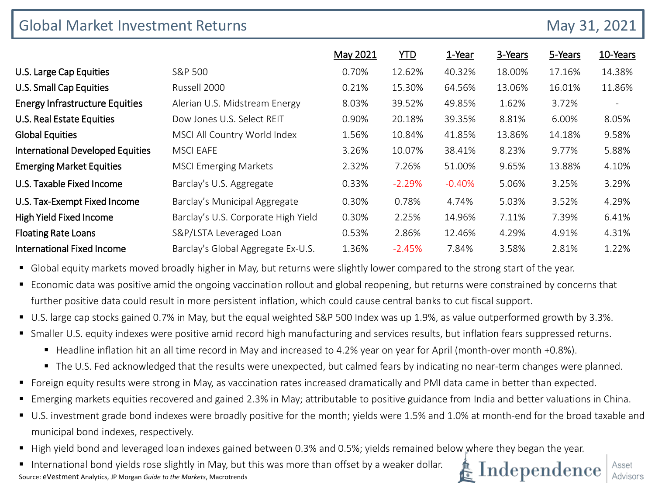| <b>Global Market Investment Returns</b> | May 31, 2021                        |          |            |          |         |         |          |
|-----------------------------------------|-------------------------------------|----------|------------|----------|---------|---------|----------|
|                                         |                                     | May 2021 | <b>YTD</b> | 1-Year   | 3-Years | 5-Years | 10-Years |
| U.S. Large Cap Equities                 | S&P 500                             | 0.70%    | 12.62%     | 40.32%   | 18.00%  | 17.16%  | 14.38%   |
| U.S. Small Cap Equities                 | Russell 2000                        | 0.21%    | 15.30%     | 64.56%   | 13.06%  | 16.01%  | 11.86%   |
| <b>Energy Infrastructure Equities</b>   | Alerian U.S. Midstream Energy       | 8.03%    | 39.52%     | 49.85%   | 1.62%   | 3.72%   |          |
| U.S. Real Estate Equities               | Dow Jones U.S. Select REIT          | 0.90%    | 20.18%     | 39.35%   | 8.81%   | 6.00%   | 8.05%    |
| <b>Global Equities</b>                  | MSCI All Country World Index        | 1.56%    | 10.84%     | 41.85%   | 13.86%  | 14.18%  | 9.58%    |
| <b>International Developed Equities</b> | <b>MSCI EAFE</b>                    | 3.26%    | 10.07%     | 38.41%   | 8.23%   | 9.77%   | 5.88%    |
| <b>Emerging Market Equities</b>         | <b>MSCI Emerging Markets</b>        | 2.32%    | 7.26%      | 51.00%   | 9.65%   | 13.88%  | 4.10%    |
| U.S. Taxable Fixed Income               | Barclay's U.S. Aggregate            | 0.33%    | $-2.29%$   | $-0.40%$ | 5.06%   | 3.25%   | 3.29%    |
| U.S. Tax-Exempt Fixed Income            | Barclay's Municipal Aggregate       | 0.30%    | 0.78%      | 4.74%    | 5.03%   | 3.52%   | 4.29%    |
| High Yield Fixed Income                 | Barclay's U.S. Corporate High Yield | 0.30%    | 2.25%      | 14.96%   | 7.11%   | 7.39%   | 6.41%    |
| <b>Floating Rate Loans</b>              | S&P/LSTA Leveraged Loan             | 0.53%    | 2.86%      | 12.46%   | 4.29%   | 4.91%   | 4.31%    |
| <b>International Fixed Income</b>       | Barclay's Global Aggregate Ex-U.S.  | 1.36%    | $-2.45%$   | 7.84%    | 3.58%   | 2.81%   | 1.22%    |

Global equity markets moved broadly higher in May, but returns were slightly lower compared to the strong start of the year.

 Economic data was positive amid the ongoing vaccination rollout and global reopening, but returns were constrained by concerns that further positive data could result in more persistent inflation, which could cause central banks to cut fiscal support.

- U.S. large cap stocks gained 0.7% in May, but the equal weighted S&P 500 Index was up 1.9%, as value outperformed growth by 3.3%.
- Smaller U.S. equity indexes were positive amid record high manufacturing and services results, but inflation fears suppressed returns.
	- Headline inflation hit an all time record in May and increased to 4.2% year on year for April (month-over month +0.8%).
	- The U.S. Fed acknowledged that the results were unexpected, but calmed fears by indicating no near-term changes were planned.
- Foreign equity results were strong in May, as vaccination rates increased dramatically and PMI data came in better than expected.
- Emerging markets equities recovered and gained 2.3% in May; attributable to positive guidance from India and better valuations in China.
- U.S. investment grade bond indexes were broadly positive for the month; yields were 1.5% and 1.0% at month-end for the broad taxable and municipal bond indexes, respectively.
- High yield bond and leveraged loan indexes gained between 0.3% and 0.5%; yields remained below where they began the year.
- International bond yields rose slightly in May, but this was more than offset by a weaker dollar. Source: eVestment Analytics, JP Morgan *Guide to the Markets*, Macrotrends

# Independence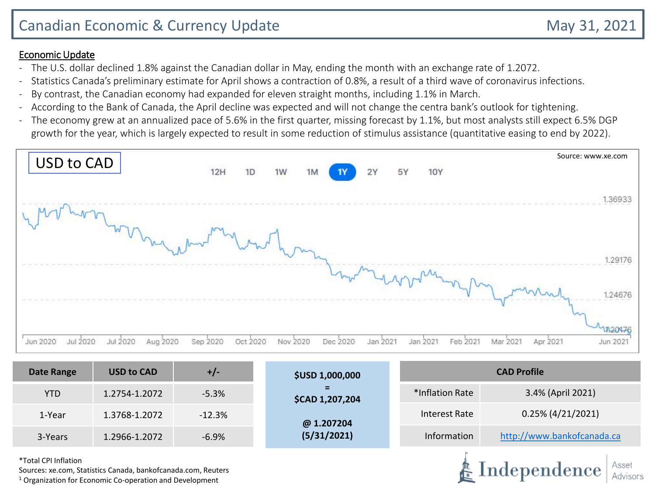### Economic Update

- The U.S. dollar declined 1.8% against the Canadian dollar in May, ending the month with an exchange rate of 1.2072.
- Statistics Canada's preliminary estimate for April shows a contraction of 0.8%, a result of a third wave of coronavirus infections.
- By contrast, the Canadian economy had expanded for eleven straight months, including 1.1% in March.
- According to the Bank of Canada, the April decline was expected and will not change the centra bank's outlook for tightening.
- The economy grew at an annualized pace of 5.6% in the first quarter, missing forecast by 1.1%, but most analysts still expect 6.5% DGP growth for the year, which is largely expected to result in some reduction of stimulus assistance (quantitative easing to end by 2022).



| <b>Date Range</b> | <b>USD to CAD</b> | +/-      | <b>\$USD 1,000,000</b> | <b>CAD Profile</b> |                            |  |  |
|-------------------|-------------------|----------|------------------------|--------------------|----------------------------|--|--|
| <b>YTD</b>        | 1.2754-1.2072     | $-5.3%$  | -<br>\$CAD 1,207,204   | 3.4% (April 2021)  |                            |  |  |
| 1-Year            | 1.3768-1.2072     | $-12.3%$ | @ 1.207204             | Interest Rate      |                            |  |  |
| 3-Years           | 1.2966-1.2072     | $-6.9%$  | (5/31/2021)            | Information        | http://www.bankofcanada.ca |  |  |
|                   |                   |          |                        |                    |                            |  |  |

\*Total CPI Inflation

Sources: xe.com, Statistics Canada, bankofcanada.com, Reuters

 $1$  Organization for Economic Co-operation and Development

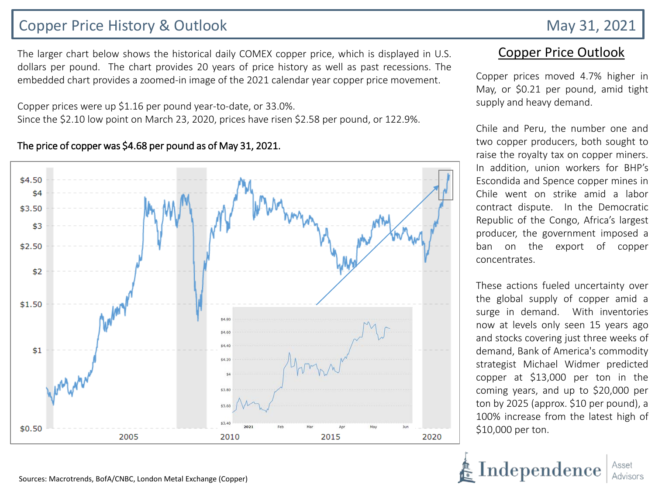# Copper Price History & Outlook May 31, 2021

The larger chart below shows the historical daily COMEX copper price, which is displayed in U.S. dollars per pound. The chart provides 20 years of price history as well as past recessions. The embedded chart provides a zoomed-in image of the 2021 calendar year copper price movement.

Copper prices were up \$1.16 per pound year-to-date, or 33.0%. Since the \$2.10 low point on March 23, 2020, prices have risen \$2.58 per pound, or 122.9%.

#### The price of copper was \$4.68 per pound as of May 31, 2021.



## Copper Price Outlook

Copper prices moved 4.7% higher in May, or \$0.21 per pound, amid tight supply and heavy demand.

Chile and Peru, the number one and two copper producers, both sought to raise the royalty tax on copper miners. In addition, union workers for BHP's Escondida and Spence copper mines in Chile went on strike amid a labor contract dispute. In the Democratic Republic of the Congo, Africa's largest producer, the government imposed a ban on the export of copper concentrates.

These actions fueled uncertainty over the global supply of copper amid a surge in demand. With inventories now at levels only seen 15 years ago and stocks covering just three weeks of demand, Bank of America's commodity strategist Michael Widmer predicted copper at \$13,000 per ton in the coming years, and up to \$20,000 per ton by 2025 (approx. \$10 per pound), a 100% increase from the latest high of \$10,000 per ton.

Independenc

Sources: Macrotrends, BofA/CNBC, London Metal Exchange (Copper)